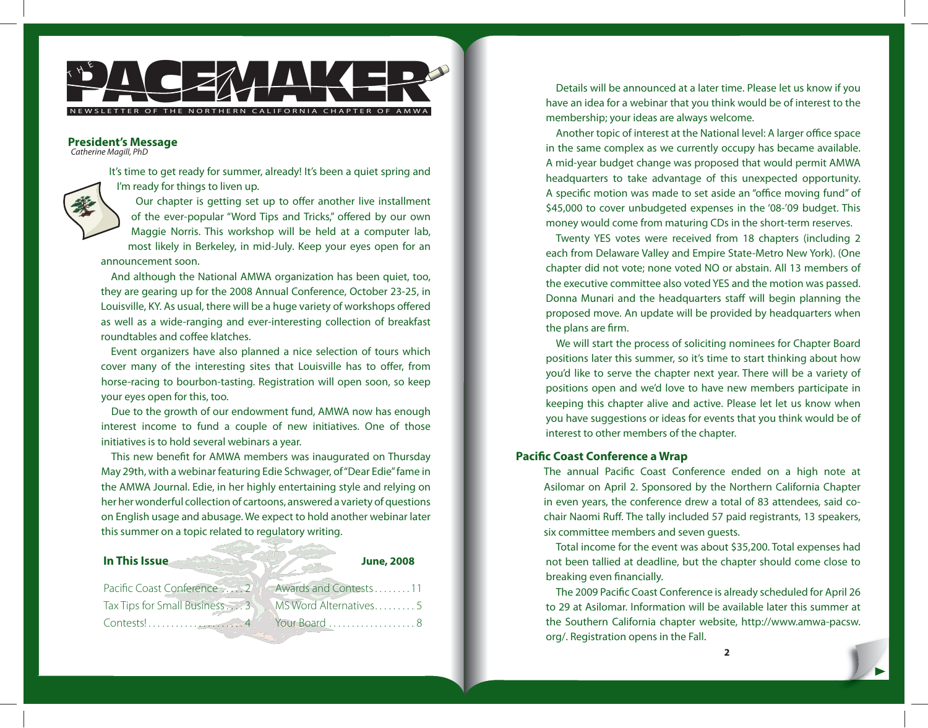

#### **President's Message**

Catherine Magill, PhD

It's time to get ready for summer, already! It's been a quiet spring and I'm ready for things to liven up.



Our chapter is getting set up to offer another live installment of the ever-popular "Word Tips and Tricks," offered by our own Maggie Norris. This workshop will be held at a computer lab, most likely in Berkeley, in mid-July. Keep your eyes open for an

announcement soon.

And although the National AMWA organization has been quiet, too, they are gearing up for the 2008 Annual Conference, October 23-25, in Louisville, KY. As usual, there will be a huge variety of workshops offered as well as a wide-ranging and ever-interesting collection of breakfast roundtables and coffee klatches.

Event organizers have also planned a nice selection of tours which cover many of the interesting sites that Louisville has to offer, from horse-racing to bourbon-tasting. Registration will open soon, so keep your eyes open for this, too.

Due to the growth of our endowment fund, AMWA now has enough interest income to fund a couple of new initiatives. One of those initiatives is to hold several webinars a year.

This new benefit for AMWA members was inaugurated on Thursday May 29th, with a webinar featuring Edie Schwager, of "Dear Edie" fame in the AMWA Journal. Edie, in her highly entertaining style and relying on her her wonderful collection of cartoons, answered a variety of questions on English usage and abusage. We expect to hold another webinar later this summer on a topic related to regulatory writing.

| In This Issue                | <b>June, 2008</b>     |  |
|------------------------------|-----------------------|--|
| Pacific Coast Conference     | Awards and Contests11 |  |
| Tax Tips for Small Business. | MS Word Alternatives5 |  |
|                              |                       |  |
|                              |                       |  |

Details will be announced at a later time. Please let us know if you have an idea for a webinar that you think would be of interest to the membership; your ideas are always welcome.

Another topic of interest at the National level: A larger office space in the same complex as we currently occupy has became available. A mid-year budget change was proposed that would permit AMWA headquarters to take advantage of this unexpected opportunity. A specific motion was made to set aside an "office moving fund" of \$45,000 to cover unbudgeted expenses in the '08-'09 budget. This money would come from maturing CDs in the short-term reserves.

Twenty YES votes were received from 18 chapters (including 2 each from Delaware Valley and Empire State-Metro New York). (One chapter did not vote; none voted NO or abstain. All 13 members of the executive committee also voted YES and the motion was passed. Donna Munari and the headquarters staff will begin planning the proposed move. An update will be provided by headquarters when the plans are firm.

We will start the process of soliciting nominees for Chapter Board positions later this summer, so it's time to start thinking about how you'd like to serve the chapter next year. There will be a variety of positions open and we'd love to have new members participate in keeping this chapter alive and active. Please let let us know when you have suggestions or ideas for events that you think would be of interest to other members of the chapter.

# **Pacific Coast Conference a Wrap**

The annual Pacific Coast Conference ended on a high note at Asilomar on April 2. Sponsored by the Northern California Chapter in even years, the conference drew a total of 83 attendees, said cochair Naomi Ruff. The tally included 57 paid registrants, 13 speakers, six committee members and seven guests.

Total income for the event was about \$35,200. Total expenses had not been tallied at deadline, but the chapter should come close to breaking even financially.

The 2009 Pacific Coast Conference is already scheduled for April 26 to 29 at Asilomar. Information will be available later this summer at the Southern California chapter website, http://www.amwa-pacsw. org/. Registration opens in the Fall.

**2**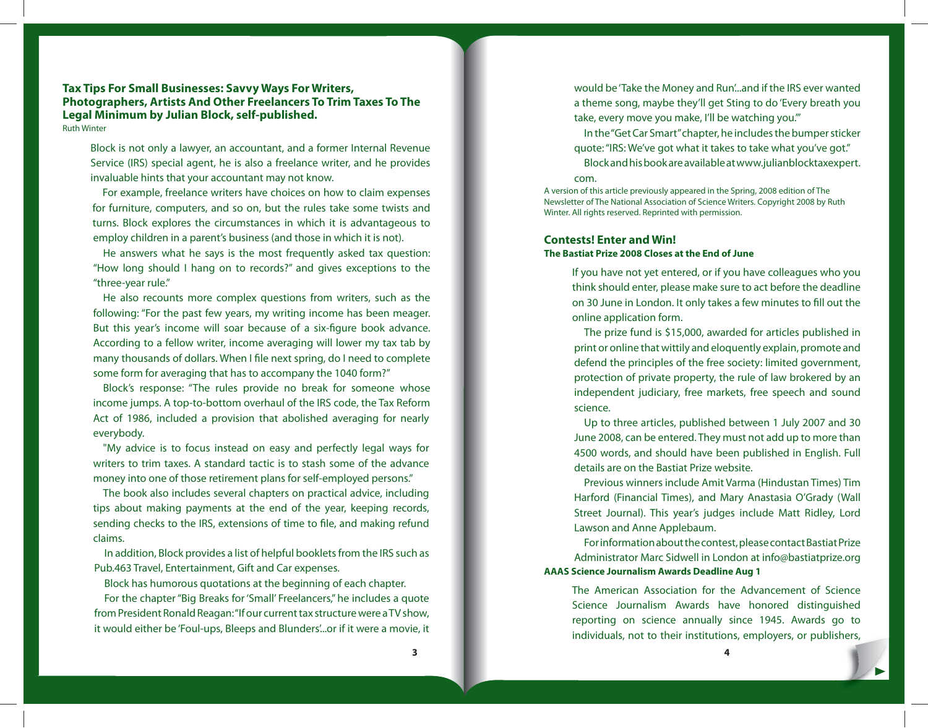## **Tax Tips For Small Businesses: Savvy Ways For Writers, Photographers, Artists And Other Freelancers To Trim Taxes To The Legal Minimum by Julian Block, self-published.** Ruth Winter

Block is not only a lawyer, an accountant, and a former Internal Revenue Service (IRS) special agent, he is also a freelance writer, and he provides invaluable hints that your accountant may not know.

For example, freelance writers have choices on how to claim expenses for furniture, computers, and so on, but the rules take some twists and turns. Block explores the circumstances in which it is advantageous to employ children in a parent's business (and those in which it is not).

He answers what he says is the most frequently asked tax question: "How long should I hang on to records?" and gives exceptions to the "three-year rule."

He also recounts more complex questions from writers, such as the following: "For the past few years, my writing income has been meager. But this year's income will soar because of a six-figure book advance. According to a fellow writer, income averaging will lower my tax tab by many thousands of dollars. When I file next spring, do I need to complete some form for averaging that has to accompany the 1040 form?"

Block's response: "The rules provide no break for someone whose income jumps. A top-to-bottom overhaul of the IRS code, the Tax Reform Act of 1986, included a provision that abolished averaging for nearly everybody.

"My advice is to focus instead on easy and perfectly legal ways for writers to trim taxes. A standard tactic is to stash some of the advance money into one of those retirement plans for self-employed persons."

The book also includes several chapters on practical advice, including tips about making payments at the end of the year, keeping records, sending checks to the IRS, extensions of time to file, and making refund claims.

In addition, Block provides a list of helpful booklets from the IRS such as Pub.463 Travel, Entertainment, Gift and Car expenses.

Block has humorous quotations at the beginning of each chapter.

For the chapter "Big Breaks for 'Small' Freelancers," he includes a quote from President Ronald Reagan: "If our current tax structure were a TV show, it would either be 'Foul-ups, Bleeps and Blunders'...or if it were a movie, it would be 'Take the Money and Run'...and if the IRS ever wanted a theme song, maybe they'll get Sting to do 'Every breath you take, every move you make, I'll be watching you.'"

In the "Get Car Smart" chapter, he includes the bumper sticker quote: "IRS: We've got what it takes to take what you've got."

Block and his book are available at www.julianblocktaxexpert. com.

A version of this article previously appeared in the Spring, 2008 edition of The Newsletter of The National Association of Science Writers. Copyright 2008 by Ruth Winter. All rights reserved. Reprinted with permission.

# **Contests! Enter and Win! The Bastiat Prize 2008 Closes at the End of June**

If you have not yet entered, or if you have colleagues who you think should enter, please make sure to act before the deadline on 30 June in London. It only takes a few minutes to fill out the online application form.

The prize fund is \$15,000, awarded for articles published in print or online that wittily and eloquently explain, promote and defend the principles of the free society: limited government, protection of private property, the rule of law brokered by an independent judiciary, free markets, free speech and sound science.

Up to three articles, published between 1 July 2007 and 30 June 2008, can be entered. They must not add up to more than 4500 words, and should have been published in English. Full details are on the Bastiat Prize website.

Previous winners include Amit Varma (Hindustan Times) Tim Harford (Financial Times), and Mary Anastasia O'Grady (Wall Street Journal). This year's judges include Matt Ridley, Lord Lawson and Anne Applebaum.

For information about the contest, please contact Bastiat Prize Administrator Marc Sidwell in London at info@bastiatprize.org **AAAS Science Journalism Awards Deadline Aug 1**

The American Association for the Advancement of Science Science Journalism Awards have honored distinguished reporting on science annually since 1945. Awards go to individuals, not to their institutions, employers, or publishers,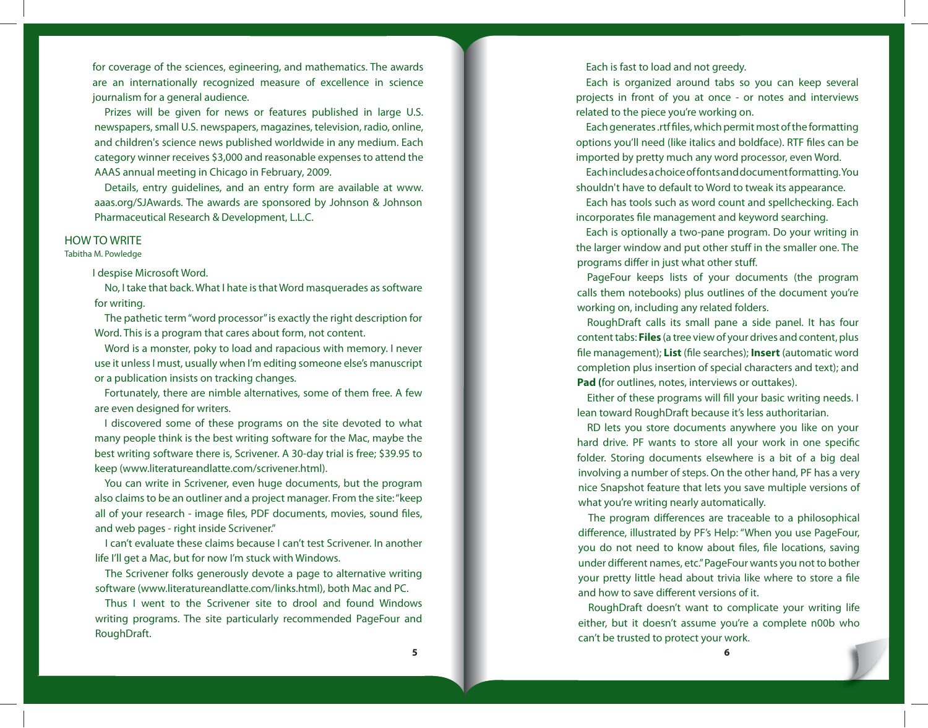for coverage of the sciences, egineering, and mathematics. The awards are an internationally recognized measure of excellence in science journalism for a general audience.

Prizes will be given for news or features published in large U.S. newspapers, small U.S. newspapers, magazines, television, radio, online, and children's science news published worldwide in any medium. Each category winner receives \$3,000 and reasonable expenses to attend the AAAS annual meeting in Chicago in February, 2009.

Details, entry guidelines, and an entry form are available at www. aaas.org/SJAwards. The awards are sponsored by Johnson & Johnson Pharmaceutical Research & Development, L.L.C.

#### HOW TO WRITE

### Tabitha M. Powledge

I despise Microsoft Word.

No, I take that back. What I hate is that Word masquerades as software for writing.

The pathetic term "word processor" is exactly the right description for Word. This is a program that cares about form, not content.

Word is a monster, poky to load and rapacious with memory. I never use it unless I must, usually when I'm editing someone else's manuscript or a publication insists on tracking changes.

Fortunately, there are nimble alternatives, some of them free. A few are even designed for writers.

I discovered some of these programs on the site devoted to what many people think is the best writing software for the Mac, maybe the best writing software there is, Scrivener. A 30-day trial is free; \$39.95 to keep (www.literatureandlatte.com/scrivener.html).

You can write in Scrivener, even huge documents, but the program also claims to be an outliner and a project manager. From the site: "keep all of your research - image files, PDF documents, movies, sound files, and web pages - right inside Scrivener."

I can't evaluate these claims because I can't test Scrivener. In another life I'll get a Mac, but for now I'm stuck with Windows.

The Scrivener folks generously devote a page to alternative writing software (www.literatureandlatte.com/links.html), both Mac and PC.

Thus I went to the Scrivener site to drool and found Windows writing programs. The site particularly recommended PageFour and RoughDraft.

## Each is fast to load and not greedy.

Each is organized around tabs so you can keep several projects in front of you at once - or notes and interviews related to the piece you're working on.

Each generates .rtf files, which permit most of the formatting options you'll need (like italics and boldface). RTF files can be imported by pretty much any word processor, even Word.

Each includes a choice of fonts and document formatting. You shouldn't have to default to Word to tweak its appearance.

Each has tools such as word count and spellchecking. Each incorporates file management and keyword searching.

Each is optionally a two-pane program. Do your writing in the larger window and put other stuff in the smaller one. The programs differ in just what other stuff.

PageFour keeps lists of your documents (the program calls them notebooks) plus outlines of the document you're working on, including any related folders.

RoughDraft calls its small pane a side panel. It has four content tabs: **Files** (a tree view of your drives and content, plus file management); List (file searches); lnsert (automatic word completion plus insertion of special characters and text); and **Pad (**for outlines, notes, interviews or outtakes).

Either of these programs will fill your basic writing needs. I lean toward RoughDraft because it's less authoritarian.

RD lets you store documents anywhere you like on your hard drive. PF wants to store all your work in one specific folder. Storing documents elsewhere is a bit of a big deal involving a number of steps. On the other hand, PF has a very nice Snapshot feature that lets you save multiple versions of what you're writing nearly automatically.

The program differences are traceable to a philosophical difference, illustrated by PF's Help: "When you use PageFour, you do not need to know about files, file locations, saving under different names, etc." PageFour wants you not to bother your pretty little head about trivia like where to store a file and how to save different versions of it.

RoughDraft doesn't want to complicate your writing life either, but it doesn't assume you're a complete n00b who can't be trusted to protect your work.